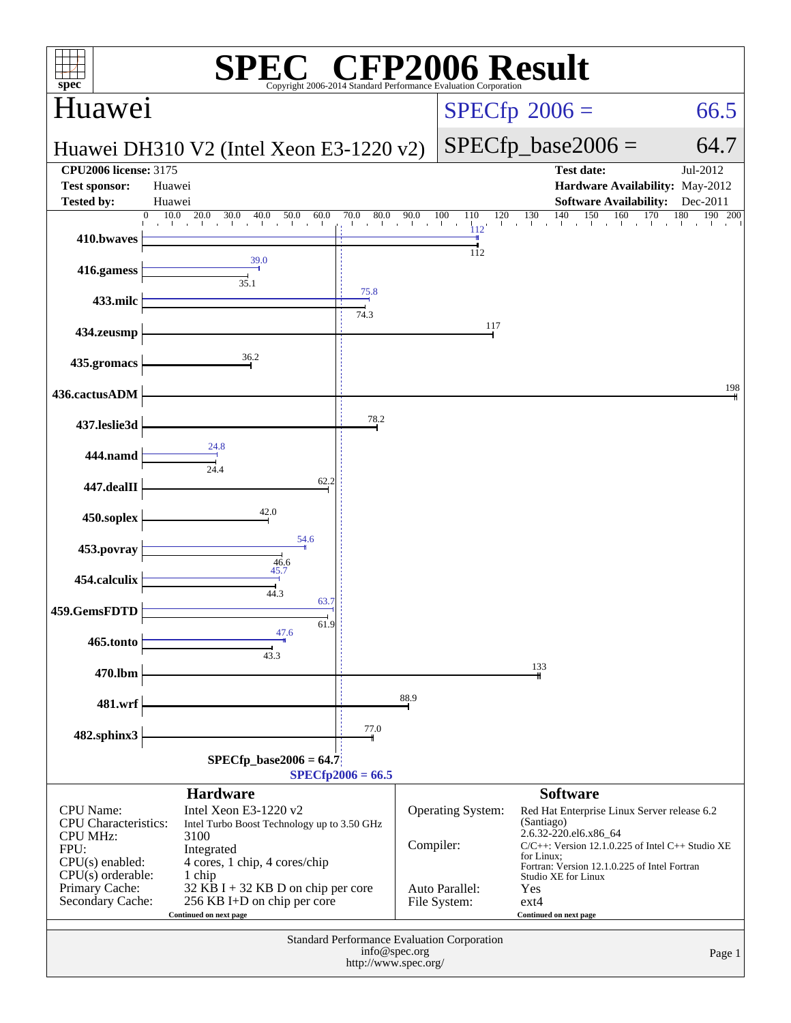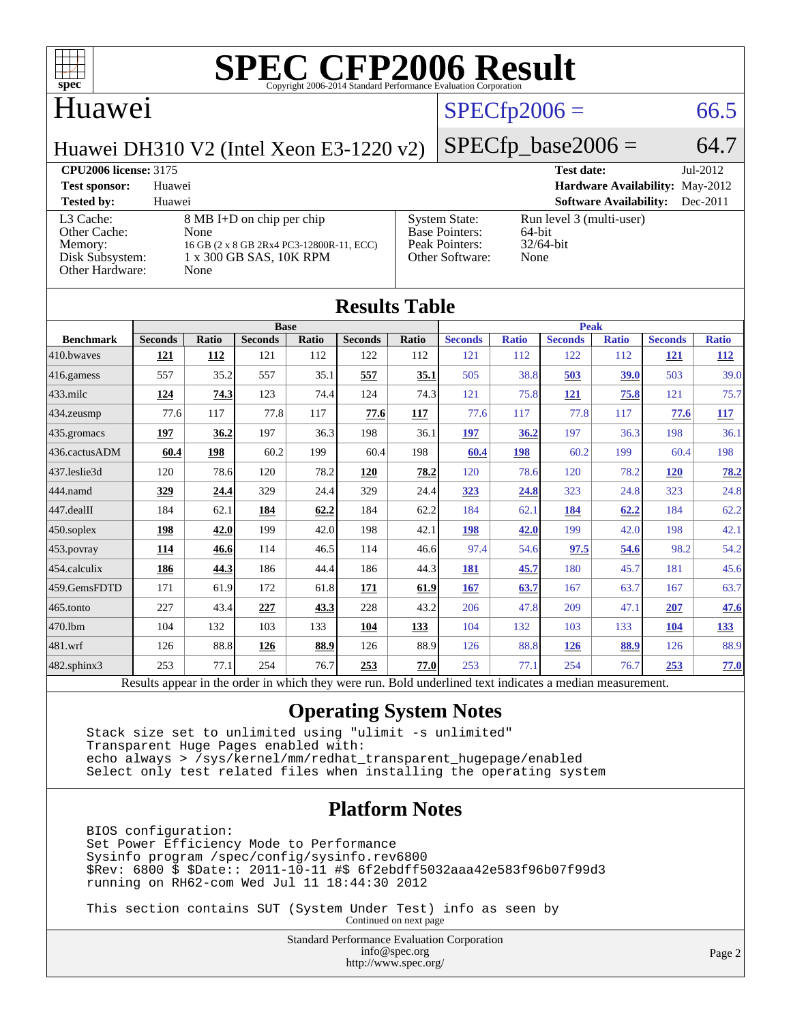

### Huawei

### $SPECfp2006 = 66.5$  $SPECfp2006 = 66.5$

Huawei DH310 V2 (Intel Xeon E3-1220 v2)

### $SPECfp\_base2006 = 64.7$

### **[CPU2006 license:](http://www.spec.org/auto/cpu2006/Docs/result-fields.html#CPU2006license)** 3175 **[Test date:](http://www.spec.org/auto/cpu2006/Docs/result-fields.html#Testdate)** Jul-2012 **[Test sponsor:](http://www.spec.org/auto/cpu2006/Docs/result-fields.html#Testsponsor)** Huawei **[Hardware Availability:](http://www.spec.org/auto/cpu2006/Docs/result-fields.html#HardwareAvailability)** May-2012 **[Tested by:](http://www.spec.org/auto/cpu2006/Docs/result-fields.html#Testedby)** Huawei **[Software Availability:](http://www.spec.org/auto/cpu2006/Docs/result-fields.html#SoftwareAvailability)** Dec-2011 [L3 Cache:](http://www.spec.org/auto/cpu2006/Docs/result-fields.html#L3Cache) 8 MB I+D on chip per chip<br>Other Cache: None [Other Cache:](http://www.spec.org/auto/cpu2006/Docs/result-fields.html#OtherCache) [Memory:](http://www.spec.org/auto/cpu2006/Docs/result-fields.html#Memory) 16 GB (2 x 8 GB 2Rx4 PC3-12800R-11, ECC) [Disk Subsystem:](http://www.spec.org/auto/cpu2006/Docs/result-fields.html#DiskSubsystem) 1 x 300 GB SAS, 10K RPM [Other Hardware:](http://www.spec.org/auto/cpu2006/Docs/result-fields.html#OtherHardware) None [System State:](http://www.spec.org/auto/cpu2006/Docs/result-fields.html#SystemState) Run level 3 (multi-user)<br>Base Pointers: 64-bit [Base Pointers:](http://www.spec.org/auto/cpu2006/Docs/result-fields.html#BasePointers) [Peak Pointers:](http://www.spec.org/auto/cpu2006/Docs/result-fields.html#PeakPointers) 32/64-bit [Other Software:](http://www.spec.org/auto/cpu2006/Docs/result-fields.html#OtherSoftware) None

|                  |                                                                                                          |              |                |       | <b>Results Table</b> |            |                |              |                |              |                |              |  |
|------------------|----------------------------------------------------------------------------------------------------------|--------------|----------------|-------|----------------------|------------|----------------|--------------|----------------|--------------|----------------|--------------|--|
|                  | <b>Base</b>                                                                                              |              |                |       |                      |            |                | <b>Peak</b>  |                |              |                |              |  |
| <b>Benchmark</b> | <b>Seconds</b>                                                                                           | <b>Ratio</b> | <b>Seconds</b> | Ratio | <b>Seconds</b>       | Ratio      | <b>Seconds</b> | <b>Ratio</b> | <b>Seconds</b> | <b>Ratio</b> | <b>Seconds</b> | <b>Ratio</b> |  |
| 410.bwayes       | 121                                                                                                      | <b>112</b>   | 121            | 112   | 122                  | 112        | 121            | 112          | 122            | 112          | <u>121</u>     | <u>112</u>   |  |
| 416.gamess       | 557                                                                                                      | 35.2         | 557            | 35.1  | 557                  | 35.1       | 505            | 38.8         | 503            | 39.0         | 503            | 39.0         |  |
| $433$ .milc      | 124                                                                                                      | 74.3         | 123            | 74.4  | 124                  | 74.3       | 121            | 75.8         | <b>121</b>     | 75.8         | 121            | 75.7         |  |
| $434$ . zeusmp   | 77.6                                                                                                     | 117          | 77.8           | 117   | 77.6                 | <b>117</b> | 77.6           | 117          | 77.8           | 117          | 77.6           | <b>117</b>   |  |
| 435.gromacs      | 197                                                                                                      | 36.2         | 197            | 36.3  | 198                  | 36.1       | 197            | 36.2         | 197            | 36.3         | 198            | 36.1         |  |
| 436.cactusADM    | 60.4                                                                                                     | 198          | 60.2           | 199   | 60.4                 | 198        | 60.4           | 198          | 60.2           | 199          | 60.4           | 198          |  |
| 437.leslie3d     | 120                                                                                                      | 78.6         | 120            | 78.2  | 120                  | 78.2       | 120            | 78.6         | 120            | 78.2         | 120            | 78.2         |  |
| 444.namd         | 329                                                                                                      | 24.4         | 329            | 24.4  | 329                  | 24.4       | 323            | 24.8         | 323            | 24.8         | 323            | 24.8         |  |
| $447$ .dealII    | 184                                                                                                      | 62.1         | 184            | 62.2  | 184                  | 62.2       | 184            | 62.1         | 184            | 62.2         | 184            | 62.2         |  |
| $450$ .soplex    | 198                                                                                                      | 42.0         | 199            | 42.0  | 198                  | 42.1       | <b>198</b>     | 42.0         | 199            | 42.0         | 198            | 42.1         |  |
| 453.povray       | 114                                                                                                      | 46.6         | 114            | 46.5  | 114                  | 46.6       | 97.4           | 54.6         | 97.5           | 54.6         | 98.2           | 54.2         |  |
| 454.calculix     | 186                                                                                                      | 44.3         | 186            | 44.4  | 186                  | 44.3       | 181            | 45.7         | 180            | 45.7         | 181            | 45.6         |  |
| 459.GemsFDTD     | 171                                                                                                      | 61.9         | 172            | 61.8  | 171                  | 61.9       | 167            | 63.7         | 167            | 63.7         | 167            | 63.7         |  |
| $465$ .tonto     | 227                                                                                                      | 43.4         | 227            | 43.3  | 228                  | 43.2       | 206            | 47.8         | 209            | 47.1         | 207            | <u>47.6</u>  |  |
| 470.1bm          | 104                                                                                                      | 132          | 103            | 133   | 104                  | 133        | 104            | 132          | 103            | 133          | 104            | <u>133</u>   |  |
| 481.wrf          | 126                                                                                                      | 88.8         | 126            | 88.9  | 126                  | 88.9       | 126            | 88.8         | <b>126</b>     | 88.9         | 126            | 88.9         |  |
| 482.sphinx3      | 253                                                                                                      | 77.1         | 254            | 76.7  | 253                  | 77.0       | 253            | 77.1         | 254            | 76.7         | 253            | 77.0         |  |
|                  | Results appear in the order in which they were run. Bold underlined text indicates a median measurement. |              |                |       |                      |            |                |              |                |              |                |              |  |

### **[Operating System Notes](http://www.spec.org/auto/cpu2006/Docs/result-fields.html#OperatingSystemNotes)**

 Stack size set to unlimited using "ulimit -s unlimited" Transparent Huge Pages enabled with: echo always > /sys/kernel/mm/redhat\_transparent\_hugepage/enabled Select only test related files when installing the operating system

### **[Platform Notes](http://www.spec.org/auto/cpu2006/Docs/result-fields.html#PlatformNotes)**

 BIOS configuration: Set Power Efficiency Mode to Performance Sysinfo program /spec/config/sysinfo.rev6800 \$Rev: 6800 \$ \$Date:: 2011-10-11 #\$ 6f2ebdff5032aaa42e583f96b07f99d3 running on RH62-com Wed Jul 11 18:44:30 2012

 This section contains SUT (System Under Test) info as seen by Continued on next page

> Standard Performance Evaluation Corporation [info@spec.org](mailto:info@spec.org) <http://www.spec.org/>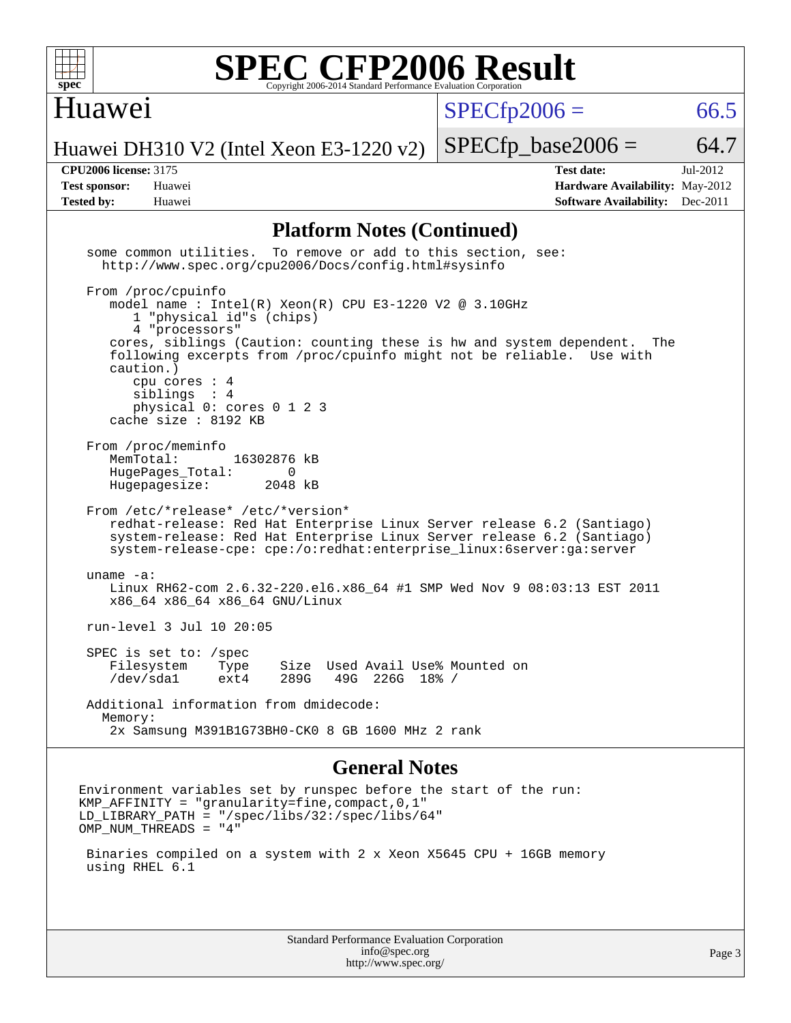

### Huawei

 $SPECTp2006 = 66.5$ 

Huawei DH310 V2 (Intel Xeon E3-1220 v2)

 $SPECTp\_base2006 = 64.7$ 

**[CPU2006 license:](http://www.spec.org/auto/cpu2006/Docs/result-fields.html#CPU2006license)** 3175 **[Test date:](http://www.spec.org/auto/cpu2006/Docs/result-fields.html#Testdate)** Jul-2012 **[Test sponsor:](http://www.spec.org/auto/cpu2006/Docs/result-fields.html#Testsponsor)** Huawei **[Hardware Availability:](http://www.spec.org/auto/cpu2006/Docs/result-fields.html#HardwareAvailability)** May-2012 **[Tested by:](http://www.spec.org/auto/cpu2006/Docs/result-fields.html#Testedby)** Huawei **[Software Availability:](http://www.spec.org/auto/cpu2006/Docs/result-fields.html#SoftwareAvailability)** Dec-2011

### **[Platform Notes \(Continued\)](http://www.spec.org/auto/cpu2006/Docs/result-fields.html#PlatformNotes)**

 some common utilities. To remove or add to this section, see: <http://www.spec.org/cpu2006/Docs/config.html#sysinfo> From /proc/cpuinfo model name : Intel(R) Xeon(R) CPU E3-1220 V2 @ 3.10GHz 1 "physical id"s (chips) 4 "processors" cores, siblings (Caution: counting these is hw and system dependent. The following excerpts from /proc/cpuinfo might not be reliable. Use with caution.) cpu cores : 4 siblings : 4 physical 0: cores 0 1 2 3 cache size : 8192 KB From /proc/meminfo<br>MemTotal: 16302876 kB HugePages\_Total: 0<br>Hugepagesize: 2048 kB Hugepagesize: From /etc/\*release\* /etc/\*version\* redhat-release: Red Hat Enterprise Linux Server release 6.2 (Santiago) system-release: Red Hat Enterprise Linux Server release 6.2 (Santiago) system-release-cpe: cpe:/o:redhat:enterprise\_linux:6server:ga:server uname -a: Linux RH62-com 2.6.32-220.el6.x86\_64 #1 SMP Wed Nov 9 08:03:13 EST 2011 x86\_64 x86\_64 x86\_64 GNU/Linux run-level 3 Jul 10 20:05 SPEC is set to: /spec Filesystem Type Size Used Avail Use% Mounted on /dev/sda1 ext4 289G 49G 226G 18% / Additional information from dmidecode: Memory: 2x Samsung M391B1G73BH0-CK0 8 GB 1600 MHz 2 rank

### **[General Notes](http://www.spec.org/auto/cpu2006/Docs/result-fields.html#GeneralNotes)**

Environment variables set by runspec before the start of the run:  $KMP_A$ FFINITY = "granularity=fine, compact, 0, 1" LD\_LIBRARY\_PATH = "/spec/libs/32:/spec/libs/64" OMP\_NUM\_THREADS = "4"

 Binaries compiled on a system with 2 x Xeon X5645 CPU + 16GB memory using RHEL 6.1

> Standard Performance Evaluation Corporation [info@spec.org](mailto:info@spec.org) <http://www.spec.org/>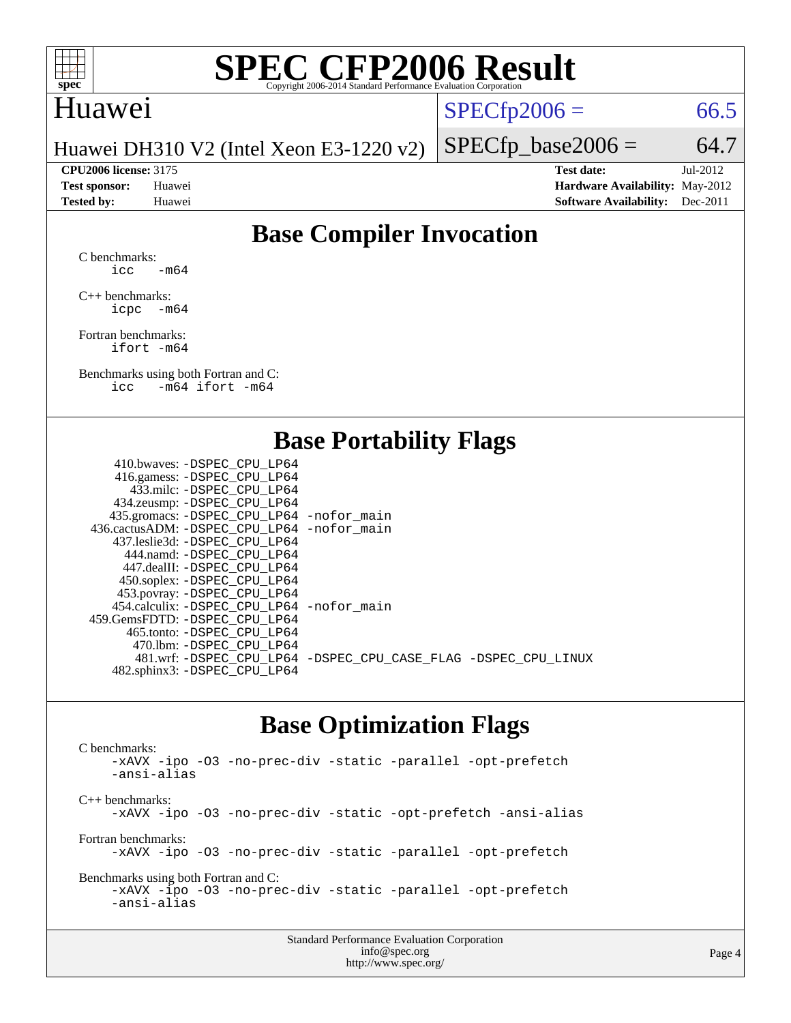

### Huawei

 $SPECTp2006 = 66.5$ 

Huawei DH310 V2 (Intel Xeon E3-1220 v2)

**[CPU2006 license:](http://www.spec.org/auto/cpu2006/Docs/result-fields.html#CPU2006license)** 3175 **[Test date:](http://www.spec.org/auto/cpu2006/Docs/result-fields.html#Testdate)** Jul-2012 **[Test sponsor:](http://www.spec.org/auto/cpu2006/Docs/result-fields.html#Testsponsor)** Huawei **[Hardware Availability:](http://www.spec.org/auto/cpu2006/Docs/result-fields.html#HardwareAvailability)** May-2012 **[Tested by:](http://www.spec.org/auto/cpu2006/Docs/result-fields.html#Testedby)** Huawei **[Software Availability:](http://www.spec.org/auto/cpu2006/Docs/result-fields.html#SoftwareAvailability)** Dec-2011

 $SPECfp\_base2006 = 64.7$ 

### **[Base Compiler Invocation](http://www.spec.org/auto/cpu2006/Docs/result-fields.html#BaseCompilerInvocation)**

[C benchmarks](http://www.spec.org/auto/cpu2006/Docs/result-fields.html#Cbenchmarks):  $\text{icc}$  -m64

[C++ benchmarks:](http://www.spec.org/auto/cpu2006/Docs/result-fields.html#CXXbenchmarks) [icpc -m64](http://www.spec.org/cpu2006/results/res2012q3/cpu2006-20120711-23622.flags.html#user_CXXbase_intel_icpc_64bit_bedb90c1146cab66620883ef4f41a67e)

[Fortran benchmarks](http://www.spec.org/auto/cpu2006/Docs/result-fields.html#Fortranbenchmarks): [ifort -m64](http://www.spec.org/cpu2006/results/res2012q3/cpu2006-20120711-23622.flags.html#user_FCbase_intel_ifort_64bit_ee9d0fb25645d0210d97eb0527dcc06e)

[Benchmarks using both Fortran and C](http://www.spec.org/auto/cpu2006/Docs/result-fields.html#BenchmarksusingbothFortranandC): [icc -m64](http://www.spec.org/cpu2006/results/res2012q3/cpu2006-20120711-23622.flags.html#user_CC_FCbase_intel_icc_64bit_0b7121f5ab7cfabee23d88897260401c) [ifort -m64](http://www.spec.org/cpu2006/results/res2012q3/cpu2006-20120711-23622.flags.html#user_CC_FCbase_intel_ifort_64bit_ee9d0fb25645d0210d97eb0527dcc06e)

### **[Base Portability Flags](http://www.spec.org/auto/cpu2006/Docs/result-fields.html#BasePortabilityFlags)**

| 410.bwaves: -DSPEC_CPU LP64                  |                                                                |
|----------------------------------------------|----------------------------------------------------------------|
| 416.gamess: -DSPEC_CPU_LP64                  |                                                                |
| 433.milc: -DSPEC CPU LP64                    |                                                                |
| 434.zeusmp: -DSPEC_CPU_LP64                  |                                                                |
| 435.gromacs: -DSPEC_CPU_LP64 -nofor_main     |                                                                |
| 436.cactusADM: - DSPEC CPU LP64 - nofor main |                                                                |
| 437.leslie3d: -DSPEC CPU LP64                |                                                                |
| 444.namd: -DSPEC CPU LP64                    |                                                                |
| 447.dealII: - DSPEC CPU LP64                 |                                                                |
| 450.soplex: -DSPEC_CPU_LP64                  |                                                                |
| 453.povray: -DSPEC_CPU_LP64                  |                                                                |
| 454.calculix: -DSPEC CPU LP64 -nofor main    |                                                                |
| 459.GemsFDTD: - DSPEC_CPU LP64               |                                                                |
| 465.tonto: - DSPEC CPU LP64                  |                                                                |
| 470.1bm: -DSPEC CPU LP64                     |                                                                |
|                                              | 481.wrf: -DSPEC CPU_LP64 -DSPEC_CPU_CASE_FLAG -DSPEC_CPU_LINUX |
| 482.sphinx3: -DSPEC_CPU_LP64                 |                                                                |
|                                              |                                                                |

### **[Base Optimization Flags](http://www.spec.org/auto/cpu2006/Docs/result-fields.html#BaseOptimizationFlags)**

[C benchmarks](http://www.spec.org/auto/cpu2006/Docs/result-fields.html#Cbenchmarks): [-xAVX](http://www.spec.org/cpu2006/results/res2012q3/cpu2006-20120711-23622.flags.html#user_CCbase_f-xAVX) [-ipo](http://www.spec.org/cpu2006/results/res2012q3/cpu2006-20120711-23622.flags.html#user_CCbase_f-ipo) [-O3](http://www.spec.org/cpu2006/results/res2012q3/cpu2006-20120711-23622.flags.html#user_CCbase_f-O3) [-no-prec-div](http://www.spec.org/cpu2006/results/res2012q3/cpu2006-20120711-23622.flags.html#user_CCbase_f-no-prec-div) [-static](http://www.spec.org/cpu2006/results/res2012q3/cpu2006-20120711-23622.flags.html#user_CCbase_f-static) [-parallel](http://www.spec.org/cpu2006/results/res2012q3/cpu2006-20120711-23622.flags.html#user_CCbase_f-parallel) [-opt-prefetch](http://www.spec.org/cpu2006/results/res2012q3/cpu2006-20120711-23622.flags.html#user_CCbase_f-opt-prefetch) [-ansi-alias](http://www.spec.org/cpu2006/results/res2012q3/cpu2006-20120711-23622.flags.html#user_CCbase_f-ansi-alias) [C++ benchmarks:](http://www.spec.org/auto/cpu2006/Docs/result-fields.html#CXXbenchmarks) [-xAVX](http://www.spec.org/cpu2006/results/res2012q3/cpu2006-20120711-23622.flags.html#user_CXXbase_f-xAVX) [-ipo](http://www.spec.org/cpu2006/results/res2012q3/cpu2006-20120711-23622.flags.html#user_CXXbase_f-ipo) [-O3](http://www.spec.org/cpu2006/results/res2012q3/cpu2006-20120711-23622.flags.html#user_CXXbase_f-O3) [-no-prec-div](http://www.spec.org/cpu2006/results/res2012q3/cpu2006-20120711-23622.flags.html#user_CXXbase_f-no-prec-div) [-static](http://www.spec.org/cpu2006/results/res2012q3/cpu2006-20120711-23622.flags.html#user_CXXbase_f-static) [-opt-prefetch](http://www.spec.org/cpu2006/results/res2012q3/cpu2006-20120711-23622.flags.html#user_CXXbase_f-opt-prefetch) [-ansi-alias](http://www.spec.org/cpu2006/results/res2012q3/cpu2006-20120711-23622.flags.html#user_CXXbase_f-ansi-alias) [Fortran benchmarks](http://www.spec.org/auto/cpu2006/Docs/result-fields.html#Fortranbenchmarks): [-xAVX](http://www.spec.org/cpu2006/results/res2012q3/cpu2006-20120711-23622.flags.html#user_FCbase_f-xAVX) [-ipo](http://www.spec.org/cpu2006/results/res2012q3/cpu2006-20120711-23622.flags.html#user_FCbase_f-ipo) [-O3](http://www.spec.org/cpu2006/results/res2012q3/cpu2006-20120711-23622.flags.html#user_FCbase_f-O3) [-no-prec-div](http://www.spec.org/cpu2006/results/res2012q3/cpu2006-20120711-23622.flags.html#user_FCbase_f-no-prec-div) [-static](http://www.spec.org/cpu2006/results/res2012q3/cpu2006-20120711-23622.flags.html#user_FCbase_f-static) [-parallel](http://www.spec.org/cpu2006/results/res2012q3/cpu2006-20120711-23622.flags.html#user_FCbase_f-parallel) [-opt-prefetch](http://www.spec.org/cpu2006/results/res2012q3/cpu2006-20120711-23622.flags.html#user_FCbase_f-opt-prefetch) [Benchmarks using both Fortran and C](http://www.spec.org/auto/cpu2006/Docs/result-fields.html#BenchmarksusingbothFortranandC): [-xAVX](http://www.spec.org/cpu2006/results/res2012q3/cpu2006-20120711-23622.flags.html#user_CC_FCbase_f-xAVX) [-ipo](http://www.spec.org/cpu2006/results/res2012q3/cpu2006-20120711-23622.flags.html#user_CC_FCbase_f-ipo) [-O3](http://www.spec.org/cpu2006/results/res2012q3/cpu2006-20120711-23622.flags.html#user_CC_FCbase_f-O3) [-no-prec-div](http://www.spec.org/cpu2006/results/res2012q3/cpu2006-20120711-23622.flags.html#user_CC_FCbase_f-no-prec-div) [-static](http://www.spec.org/cpu2006/results/res2012q3/cpu2006-20120711-23622.flags.html#user_CC_FCbase_f-static) [-parallel](http://www.spec.org/cpu2006/results/res2012q3/cpu2006-20120711-23622.flags.html#user_CC_FCbase_f-parallel) [-opt-prefetch](http://www.spec.org/cpu2006/results/res2012q3/cpu2006-20120711-23622.flags.html#user_CC_FCbase_f-opt-prefetch) [-ansi-alias](http://www.spec.org/cpu2006/results/res2012q3/cpu2006-20120711-23622.flags.html#user_CC_FCbase_f-ansi-alias)

| <b>Standard Performance Evaluation Corporation</b> |
|----------------------------------------------------|
| info@spec.org                                      |
| http://www.spec.org/                               |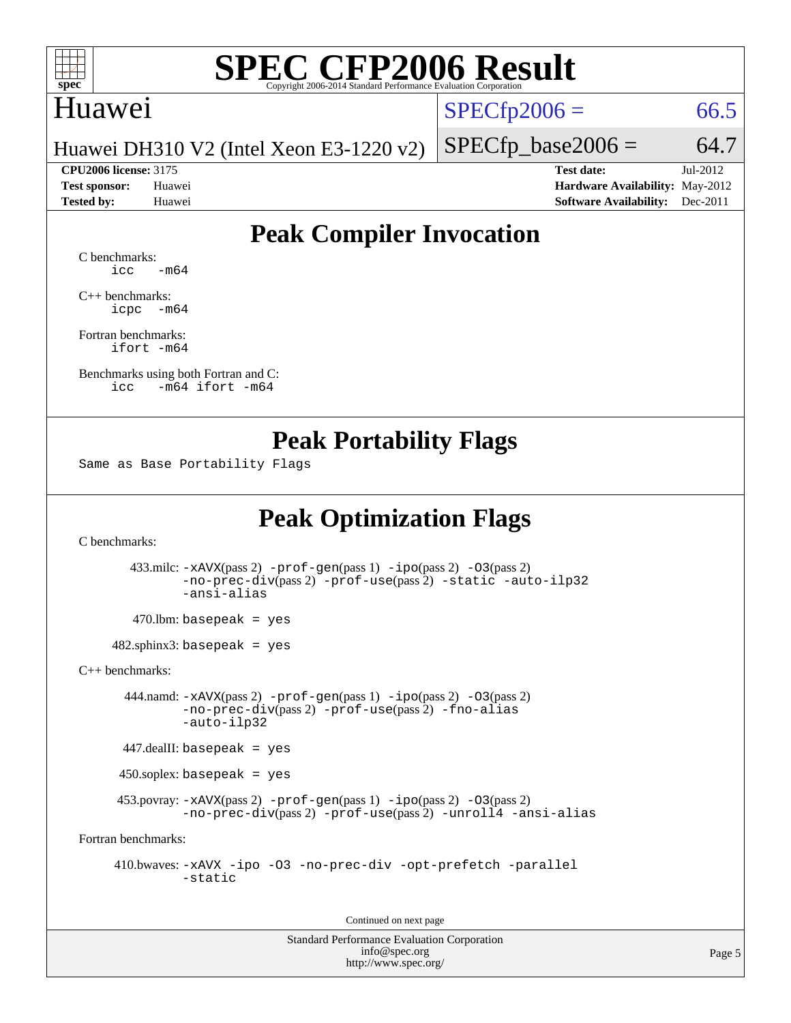

### Huawei

 $SPECTp2006 = 66.5$ 

Huawei DH310 V2 (Intel Xeon E3-1220 v2)

**[CPU2006 license:](http://www.spec.org/auto/cpu2006/Docs/result-fields.html#CPU2006license)** 3175 **[Test date:](http://www.spec.org/auto/cpu2006/Docs/result-fields.html#Testdate)** Jul-2012 **[Test sponsor:](http://www.spec.org/auto/cpu2006/Docs/result-fields.html#Testsponsor)** Huawei **[Hardware Availability:](http://www.spec.org/auto/cpu2006/Docs/result-fields.html#HardwareAvailability)** May-2012 **[Tested by:](http://www.spec.org/auto/cpu2006/Docs/result-fields.html#Testedby)** Huawei **[Software Availability:](http://www.spec.org/auto/cpu2006/Docs/result-fields.html#SoftwareAvailability)** Dec-2011

 $SPECfp\_base2006 = 64.7$ 

### **[Peak Compiler Invocation](http://www.spec.org/auto/cpu2006/Docs/result-fields.html#PeakCompilerInvocation)**

[C benchmarks](http://www.spec.org/auto/cpu2006/Docs/result-fields.html#Cbenchmarks):  $\text{icc}$   $-\text{m64}$ 

[C++ benchmarks:](http://www.spec.org/auto/cpu2006/Docs/result-fields.html#CXXbenchmarks) [icpc -m64](http://www.spec.org/cpu2006/results/res2012q3/cpu2006-20120711-23622.flags.html#user_CXXpeak_intel_icpc_64bit_bedb90c1146cab66620883ef4f41a67e)

[Fortran benchmarks](http://www.spec.org/auto/cpu2006/Docs/result-fields.html#Fortranbenchmarks): [ifort -m64](http://www.spec.org/cpu2006/results/res2012q3/cpu2006-20120711-23622.flags.html#user_FCpeak_intel_ifort_64bit_ee9d0fb25645d0210d97eb0527dcc06e)

[Benchmarks using both Fortran and C](http://www.spec.org/auto/cpu2006/Docs/result-fields.html#BenchmarksusingbothFortranandC): [icc -m64](http://www.spec.org/cpu2006/results/res2012q3/cpu2006-20120711-23622.flags.html#user_CC_FCpeak_intel_icc_64bit_0b7121f5ab7cfabee23d88897260401c) [ifort -m64](http://www.spec.org/cpu2006/results/res2012q3/cpu2006-20120711-23622.flags.html#user_CC_FCpeak_intel_ifort_64bit_ee9d0fb25645d0210d97eb0527dcc06e)

### **[Peak Portability Flags](http://www.spec.org/auto/cpu2006/Docs/result-fields.html#PeakPortabilityFlags)**

Same as Base Portability Flags

### **[Peak Optimization Flags](http://www.spec.org/auto/cpu2006/Docs/result-fields.html#PeakOptimizationFlags)**

[C benchmarks](http://www.spec.org/auto/cpu2006/Docs/result-fields.html#Cbenchmarks):

 433.milc: [-xAVX](http://www.spec.org/cpu2006/results/res2012q3/cpu2006-20120711-23622.flags.html#user_peakPASS2_CFLAGSPASS2_LDFLAGS433_milc_f-xAVX)(pass 2) [-prof-gen](http://www.spec.org/cpu2006/results/res2012q3/cpu2006-20120711-23622.flags.html#user_peakPASS1_CFLAGSPASS1_LDFLAGS433_milc_prof_gen_e43856698f6ca7b7e442dfd80e94a8fc)(pass 1) [-ipo](http://www.spec.org/cpu2006/results/res2012q3/cpu2006-20120711-23622.flags.html#user_peakPASS2_CFLAGSPASS2_LDFLAGS433_milc_f-ipo)(pass 2) [-O3](http://www.spec.org/cpu2006/results/res2012q3/cpu2006-20120711-23622.flags.html#user_peakPASS2_CFLAGSPASS2_LDFLAGS433_milc_f-O3)(pass 2) [-no-prec-div](http://www.spec.org/cpu2006/results/res2012q3/cpu2006-20120711-23622.flags.html#user_peakPASS2_CFLAGSPASS2_LDFLAGS433_milc_f-no-prec-div)(pass 2) [-prof-use](http://www.spec.org/cpu2006/results/res2012q3/cpu2006-20120711-23622.flags.html#user_peakPASS2_CFLAGSPASS2_LDFLAGS433_milc_prof_use_bccf7792157ff70d64e32fe3e1250b55)(pass 2) [-static](http://www.spec.org/cpu2006/results/res2012q3/cpu2006-20120711-23622.flags.html#user_peakOPTIMIZE433_milc_f-static) [-auto-ilp32](http://www.spec.org/cpu2006/results/res2012q3/cpu2006-20120711-23622.flags.html#user_peakCOPTIMIZE433_milc_f-auto-ilp32) [-ansi-alias](http://www.spec.org/cpu2006/results/res2012q3/cpu2006-20120711-23622.flags.html#user_peakCOPTIMIZE433_milc_f-ansi-alias)

 $470.$ lbm: basepeak = yes

 $482$ .sphinx3: basepeak = yes

[C++ benchmarks:](http://www.spec.org/auto/cpu2006/Docs/result-fields.html#CXXbenchmarks)

 444.namd: [-xAVX](http://www.spec.org/cpu2006/results/res2012q3/cpu2006-20120711-23622.flags.html#user_peakPASS2_CXXFLAGSPASS2_LDFLAGS444_namd_f-xAVX)(pass 2) [-prof-gen](http://www.spec.org/cpu2006/results/res2012q3/cpu2006-20120711-23622.flags.html#user_peakPASS1_CXXFLAGSPASS1_LDFLAGS444_namd_prof_gen_e43856698f6ca7b7e442dfd80e94a8fc)(pass 1) [-ipo](http://www.spec.org/cpu2006/results/res2012q3/cpu2006-20120711-23622.flags.html#user_peakPASS2_CXXFLAGSPASS2_LDFLAGS444_namd_f-ipo)(pass 2) [-O3](http://www.spec.org/cpu2006/results/res2012q3/cpu2006-20120711-23622.flags.html#user_peakPASS2_CXXFLAGSPASS2_LDFLAGS444_namd_f-O3)(pass 2) [-no-prec-div](http://www.spec.org/cpu2006/results/res2012q3/cpu2006-20120711-23622.flags.html#user_peakPASS2_CXXFLAGSPASS2_LDFLAGS444_namd_f-no-prec-div)(pass 2) [-prof-use](http://www.spec.org/cpu2006/results/res2012q3/cpu2006-20120711-23622.flags.html#user_peakPASS2_CXXFLAGSPASS2_LDFLAGS444_namd_prof_use_bccf7792157ff70d64e32fe3e1250b55)(pass 2) [-fno-alias](http://www.spec.org/cpu2006/results/res2012q3/cpu2006-20120711-23622.flags.html#user_peakCXXOPTIMIZEOPTIMIZE444_namd_f-no-alias_694e77f6c5a51e658e82ccff53a9e63a) [-auto-ilp32](http://www.spec.org/cpu2006/results/res2012q3/cpu2006-20120711-23622.flags.html#user_peakCXXOPTIMIZE444_namd_f-auto-ilp32)

447.dealII: basepeak = yes

450.soplex: basepeak = yes

453.povray:  $-xAVX(pass 2)$  $-xAVX(pass 2)$  [-prof-gen](http://www.spec.org/cpu2006/results/res2012q3/cpu2006-20120711-23622.flags.html#user_peakPASS1_CXXFLAGSPASS1_LDFLAGS453_povray_prof_gen_e43856698f6ca7b7e442dfd80e94a8fc)(pass 1) [-ipo](http://www.spec.org/cpu2006/results/res2012q3/cpu2006-20120711-23622.flags.html#user_peakPASS2_CXXFLAGSPASS2_LDFLAGS453_povray_f-ipo)(pass 2) -03(pass 2) [-no-prec-div](http://www.spec.org/cpu2006/results/res2012q3/cpu2006-20120711-23622.flags.html#user_peakPASS2_CXXFLAGSPASS2_LDFLAGS453_povray_f-no-prec-div)(pass 2) [-prof-use](http://www.spec.org/cpu2006/results/res2012q3/cpu2006-20120711-23622.flags.html#user_peakPASS2_CXXFLAGSPASS2_LDFLAGS453_povray_prof_use_bccf7792157ff70d64e32fe3e1250b55)(pass 2) [-unroll4](http://www.spec.org/cpu2006/results/res2012q3/cpu2006-20120711-23622.flags.html#user_peakCXXOPTIMIZE453_povray_f-unroll_4e5e4ed65b7fd20bdcd365bec371b81f) [-ansi-alias](http://www.spec.org/cpu2006/results/res2012q3/cpu2006-20120711-23622.flags.html#user_peakCXXOPTIMIZE453_povray_f-ansi-alias)

[Fortran benchmarks](http://www.spec.org/auto/cpu2006/Docs/result-fields.html#Fortranbenchmarks):

 410.bwaves: [-xAVX](http://www.spec.org/cpu2006/results/res2012q3/cpu2006-20120711-23622.flags.html#user_peakOPTIMIZE410_bwaves_f-xAVX) [-ipo](http://www.spec.org/cpu2006/results/res2012q3/cpu2006-20120711-23622.flags.html#user_peakOPTIMIZE410_bwaves_f-ipo) [-O3](http://www.spec.org/cpu2006/results/res2012q3/cpu2006-20120711-23622.flags.html#user_peakOPTIMIZE410_bwaves_f-O3) [-no-prec-div](http://www.spec.org/cpu2006/results/res2012q3/cpu2006-20120711-23622.flags.html#user_peakOPTIMIZE410_bwaves_f-no-prec-div) [-opt-prefetch](http://www.spec.org/cpu2006/results/res2012q3/cpu2006-20120711-23622.flags.html#user_peakOPTIMIZE410_bwaves_f-opt-prefetch) [-parallel](http://www.spec.org/cpu2006/results/res2012q3/cpu2006-20120711-23622.flags.html#user_peakOPTIMIZE410_bwaves_f-parallel) [-static](http://www.spec.org/cpu2006/results/res2012q3/cpu2006-20120711-23622.flags.html#user_peakOPTIMIZE410_bwaves_f-static)

Continued on next page

Standard Performance Evaluation Corporation [info@spec.org](mailto:info@spec.org) <http://www.spec.org/>